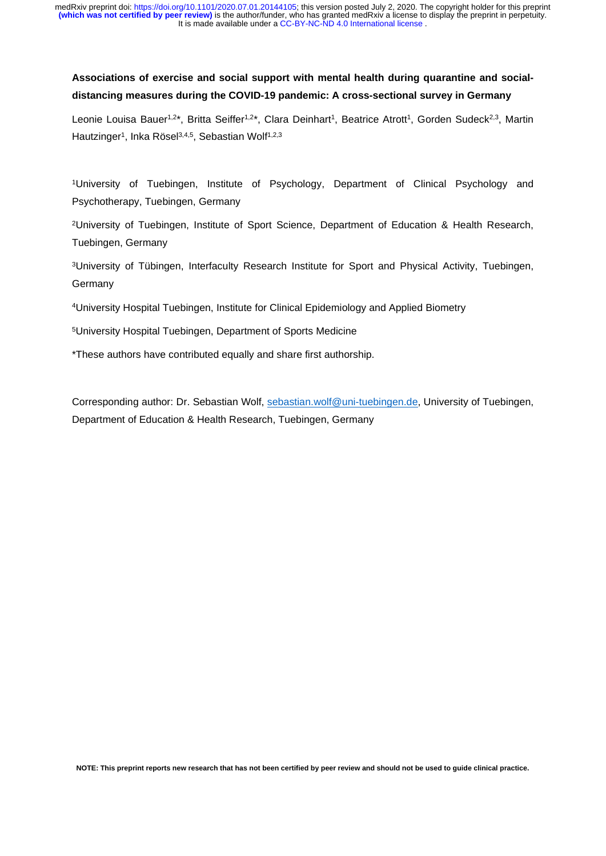# **Associations of exercise and social support with mental health during quarantine and socialdistancing measures during the COVID-19 pandemic: A cross-sectional survey in Germany**

Leonie Louisa Bauer<sup>1,2\*</sup>, Britta Seiffer<sup>1,2\*</sup>, Clara Deinhart<sup>1</sup>, Beatrice Atrott<sup>1</sup>, Gorden Sudeck<sup>2,3</sup>, Martin Hautzinger<sup>1</sup>, Inka Rösel<sup>3,4,5</sup>, Sebastian Wolf<sup>1,2,3</sup>

1University of Tuebingen, Institute of Psychology, Department of Clinical Psychology and Psychotherapy, Tuebingen, Germany

2University of Tuebingen, Institute of Sport Science, Department of Education & Health Research, Tuebingen, Germany

3University of Tübingen, Interfaculty Research Institute for Sport and Physical Activity, Tuebingen, **Germany** 

4University Hospital Tuebingen, Institute for Clinical Epidemiology and Applied Biometry

5University Hospital Tuebingen, Department of Sports Medicine

\*These authors have contributed equally and share first authorship.

Corresponding author: Dr. Sebastian Wolf, [sebastian.wolf@uni-tuebingen.de,](mailto:sebastian.wolf@uni-tuebingen.de) University of Tuebingen, Department of Education & Health Research, Tuebingen, Germany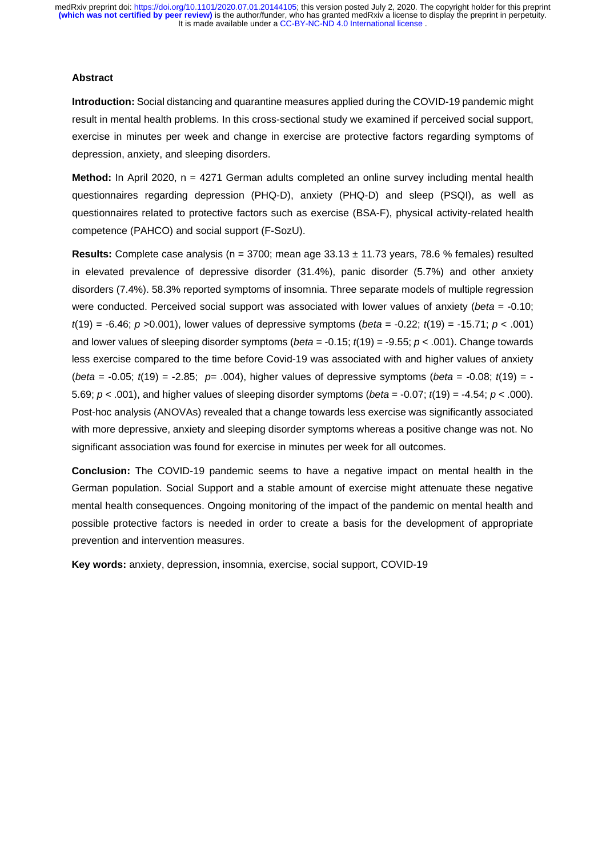### **Abstract**

**Introduction:** Social distancing and quarantine measures applied during the COVID-19 pandemic might result in mental health problems. In this cross-sectional study we examined if perceived social support, exercise in minutes per week and change in exercise are protective factors regarding symptoms of depression, anxiety, and sleeping disorders.

**Method:** In April 2020, n = 4271 German adults completed an online survey including mental health questionnaires regarding depression (PHQ-D), anxiety (PHQ-D) and sleep (PSQI), as well as questionnaires related to protective factors such as exercise (BSA-F), physical activity-related health competence (PAHCO) and social support (F-SozU).

**Results:** Complete case analysis ( $n = 3700$ ; mean age  $33.13 \pm 11.73$  years, 78.6 % females) resulted in elevated prevalence of depressive disorder (31.4%), panic disorder (5.7%) and other anxiety disorders (7.4%). 58.3% reported symptoms of insomnia. Three separate models of multiple regression were conducted. Perceived social support was associated with lower values of anxiety (*beta* = -0.10; *t*(19) = -6.46; *p* >0.001), lower values of depressive symptoms (*beta* = -0.22; *t*(19) = -15.71; *p* < .001) and lower values of sleeping disorder symptoms (*beta* = -0.15; *t*(19) = -9.55; *p* < .001). Change towards less exercise compared to the time before Covid-19 was associated with and higher values of anxiety (*beta* = -0.05; *t*(19) = -2.85; *p*= .004), higher values of depressive symptoms (*beta* = -0.08; *t*(19) = - 5.69; *p <* .001), and higher values of sleeping disorder symptoms (*beta* = -0.07; *t*(19) = -4.54; *p* < .000). Post-hoc analysis (ANOVAs) revealed that a change towards less exercise was significantly associated with more depressive, anxiety and sleeping disorder symptoms whereas a positive change was not. No significant association was found for exercise in minutes per week for all outcomes.

**Conclusion:** The COVID-19 pandemic seems to have a negative impact on mental health in the German population. Social Support and a stable amount of exercise might attenuate these negative mental health consequences. Ongoing monitoring of the impact of the pandemic on mental health and possible protective factors is needed in order to create a basis for the development of appropriate prevention and intervention measures.

**Key words:** anxiety, depression, insomnia, exercise, social support, COVID-19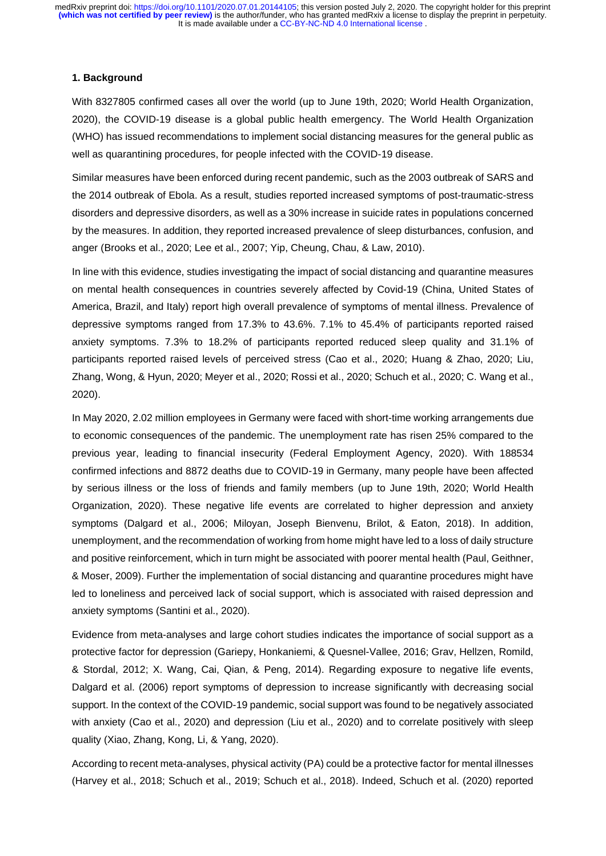## **1. Background**

With 8327805 confirmed cases all over the world (up to June 19th, 2020; World Health Organization, 2020), the COVID-19 disease is a global public health emergency. The World Health Organization (WHO) has issued recommendations to implement social distancing measures for the general public as well as quarantining procedures, for people infected with the COVID-19 disease.

Similar measures have been enforced during recent pandemic, such as the 2003 outbreak of SARS and the 2014 outbreak of Ebola. As a result, studies reported increased symptoms of post-traumatic-stress disorders and depressive disorders, as well as a 30% increase in suicide rates in populations concerned by the measures. In addition, they reported increased prevalence of sleep disturbances, confusion, and anger (Brooks et al., 2020; Lee et al., 2007; Yip, Cheung, Chau, & Law, 2010).

In line with this evidence, studies investigating the impact of social distancing and quarantine measures on mental health consequences in countries severely affected by Covid-19 (China, United States of America, Brazil, and Italy) report high overall prevalence of symptoms of mental illness. Prevalence of depressive symptoms ranged from 17.3% to 43.6%. 7.1% to 45.4% of participants reported raised anxiety symptoms. 7.3% to 18.2% of participants reported reduced sleep quality and 31.1% of participants reported raised levels of perceived stress (Cao et al., 2020; Huang & Zhao, 2020; Liu, Zhang, Wong, & Hyun, 2020; Meyer et al., 2020; Rossi et al., 2020; Schuch et al., 2020; C. Wang et al., 2020).

In May 2020, 2.02 million employees in Germany were faced with short-time working arrangements due to economic consequences of the pandemic. The unemployment rate has risen 25% compared to the previous year, leading to financial insecurity (Federal Employment Agency, 2020). With 188534 confirmed infections and 8872 deaths due to COVID-19 in Germany, many people have been affected by serious illness or the loss of friends and family members (up to June 19th, 2020; World Health Organization, 2020). These negative life events are correlated to higher depression and anxiety symptoms (Dalgard et al., 2006; Miloyan, Joseph Bienvenu, Brilot, & Eaton, 2018). In addition, unemployment, and the recommendation of working from home might have led to a loss of daily structure and positive reinforcement, which in turn might be associated with poorer mental health (Paul, Geithner, & Moser, 2009). Further the implementation of social distancing and quarantine procedures might have led to loneliness and perceived lack of social support, which is associated with raised depression and anxiety symptoms (Santini et al., 2020).

Evidence from meta-analyses and large cohort studies indicates the importance of social support as a protective factor for depression (Gariepy, Honkaniemi, & Quesnel-Vallee, 2016; Grav, Hellzen, Romild, & Stordal, 2012; X. Wang, Cai, Qian, & Peng, 2014). Regarding exposure to negative life events, Dalgard et al. (2006) report symptoms of depression to increase significantly with decreasing social support. In the context of the COVID-19 pandemic, social support was found to be negatively associated with anxiety (Cao et al., 2020) and depression (Liu et al., 2020) and to correlate positively with sleep quality (Xiao, Zhang, Kong, Li, & Yang, 2020).

According to recent meta-analyses, physical activity (PA) could be a protective factor for mental illnesses (Harvey et al., 2018; Schuch et al., 2019; Schuch et al., 2018). Indeed, Schuch et al. (2020) reported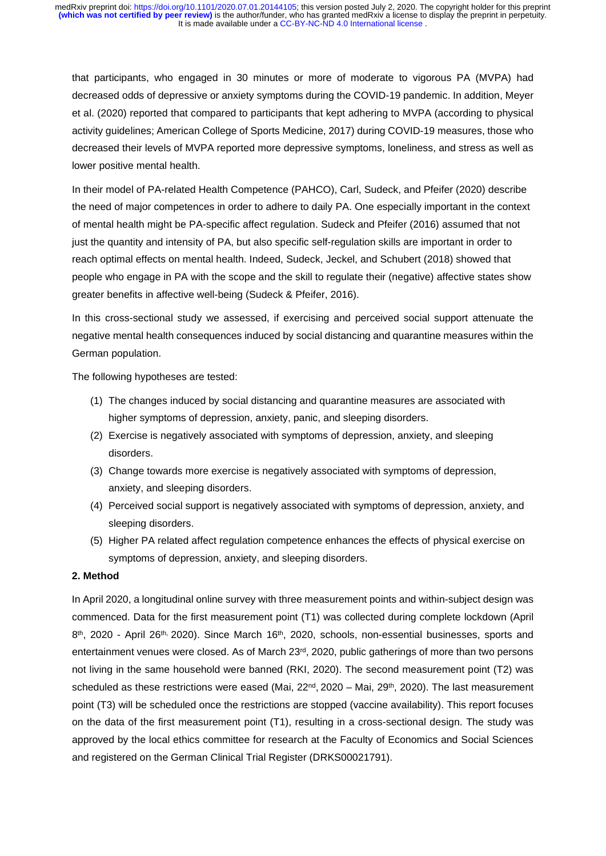that participants, who engaged in 30 minutes or more of moderate to vigorous PA (MVPA) had decreased odds of depressive or anxiety symptoms during the COVID-19 pandemic. In addition, Meyer et al. (2020) reported that compared to participants that kept adhering to MVPA (according to physical activity guidelines; American College of Sports Medicine, 2017) during COVID-19 measures, those who decreased their levels of MVPA reported more depressive symptoms, loneliness, and stress as well as lower positive mental health.

In their model of PA-related Health Competence (PAHCO), Carl, Sudeck, and Pfeifer (2020) describe the need of major competences in order to adhere to daily PA. One especially important in the context of mental health might be PA-specific affect regulation. Sudeck and Pfeifer (2016) assumed that not just the quantity and intensity of PA, but also specific self-regulation skills are important in order to reach optimal effects on mental health. Indeed, Sudeck, Jeckel, and Schubert (2018) showed that people who engage in PA with the scope and the skill to regulate their (negative) affective states show greater benefits in affective well-being (Sudeck & Pfeifer, 2016).

In this cross-sectional study we assessed, if exercising and perceived social support attenuate the negative mental health consequences induced by social distancing and quarantine measures within the German population.

The following hypotheses are tested:

- (1) The changes induced by social distancing and quarantine measures are associated with higher symptoms of depression, anxiety, panic, and sleeping disorders.
- (2) Exercise is negatively associated with symptoms of depression, anxiety, and sleeping disorders.
- (3) Change towards more exercise is negatively associated with symptoms of depression, anxiety, and sleeping disorders.
- (4) Perceived social support is negatively associated with symptoms of depression, anxiety, and sleeping disorders.
- (5) Higher PA related affect regulation competence enhances the effects of physical exercise on symptoms of depression, anxiety, and sleeping disorders.

# **2. Method**

In April 2020, a longitudinal online survey with three measurement points and within-subject design was commenced. Data for the first measurement point (T1) was collected during complete lockdown (April  $8<sup>th</sup>$ , 2020 - April 26<sup>th, 2020</sub>). Since March 16<sup>th</sup>, 2020, schools, non-essential businesses, sports and</sup> entertainment venues were closed. As of March 23<sup>rd</sup>, 2020, public gatherings of more than two persons not living in the same household were banned (RKI, 2020). The second measurement point (T2) was scheduled as these restrictions were eased (Mai,  $22^{nd}$ ,  $2020$  – Mai,  $29^{th}$ ,  $2020$ ). The last measurement point (T3) will be scheduled once the restrictions are stopped (vaccine availability). This report focuses on the data of the first measurement point (T1), resulting in a cross-sectional design. The study was approved by the local ethics committee for research at the Faculty of Economics and Social Sciences and registered on the German Clinical Trial Register (DRKS00021791).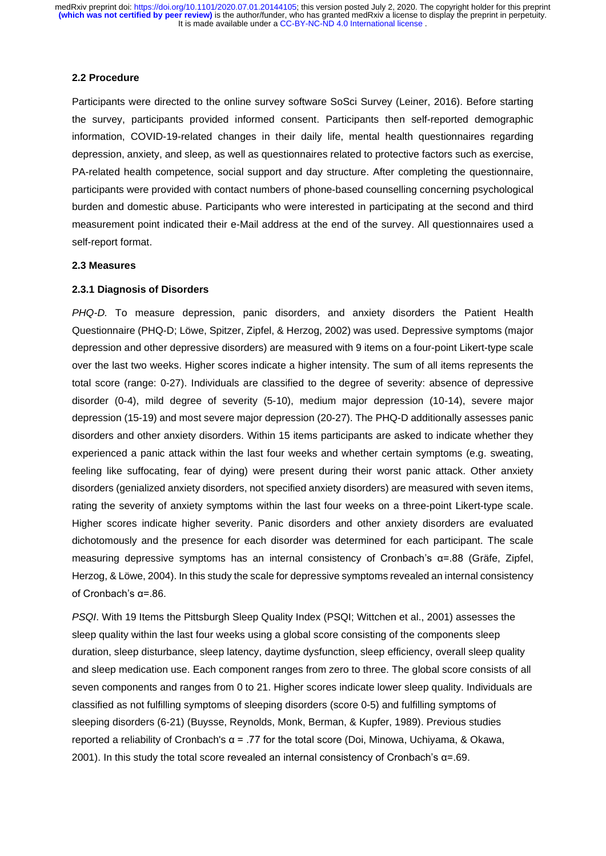#### **2.2 Procedure**

Participants were directed to the online survey software SoSci Survey (Leiner, 2016). Before starting the survey, participants provided informed consent. Participants then self-reported demographic information, COVID-19-related changes in their daily life, mental health questionnaires regarding depression, anxiety, and sleep, as well as questionnaires related to protective factors such as exercise, PA-related health competence, social support and day structure. After completing the questionnaire, participants were provided with contact numbers of phone-based counselling concerning psychological burden and domestic abuse. Participants who were interested in participating at the second and third measurement point indicated their e-Mail address at the end of the survey. All questionnaires used a self-report format.

### **2.3 Measures**

### **2.3.1 Diagnosis of Disorders**

*PHQ-D.* To measure depression, panic disorders, and anxiety disorders the Patient Health Questionnaire (PHQ-D; Löwe, Spitzer, Zipfel, & Herzog, 2002) was used. Depressive symptoms (major depression and other depressive disorders) are measured with 9 items on a four-point Likert-type scale over the last two weeks. Higher scores indicate a higher intensity. The sum of all items represents the total score (range: 0-27). Individuals are classified to the degree of severity: absence of depressive disorder (0-4), mild degree of severity (5-10), medium major depression (10-14), severe major depression (15-19) and most severe major depression (20-27). The PHQ-D additionally assesses panic disorders and other anxiety disorders. Within 15 items participants are asked to indicate whether they experienced a panic attack within the last four weeks and whether certain symptoms (e.g. sweating, feeling like suffocating, fear of dying) were present during their worst panic attack. Other anxiety disorders (genialized anxiety disorders, not specified anxiety disorders) are measured with seven items, rating the severity of anxiety symptoms within the last four weeks on a three-point Likert-type scale. Higher scores indicate higher severity. Panic disorders and other anxiety disorders are evaluated dichotomously and the presence for each disorder was determined for each participant. The scale measuring depressive symptoms has an internal consistency of Cronbach's α=.88 (Gräfe, Zipfel, Herzog, & Löwe, 2004). In this study the scale for depressive symptoms revealed an internal consistency of Cronbach's α=.86.

*PSQI*. With 19 Items the Pittsburgh Sleep Quality Index (PSQI; Wittchen et al., 2001) assesses the sleep quality within the last four weeks using a global score consisting of the components sleep duration, sleep disturbance, sleep latency, daytime dysfunction, sleep efficiency, overall sleep quality and sleep medication use. Each component ranges from zero to three. The global score consists of all seven components and ranges from 0 to 21. Higher scores indicate lower sleep quality. Individuals are classified as not fulfilling symptoms of sleeping disorders (score 0-5) and fulfilling symptoms of sleeping disorders (6-21) (Buysse, Reynolds, Monk, Berman, & Kupfer, 1989). Previous studies reported a reliability of Cronbach's  $α = .77$  for the total score (Doi, Minowa, Uchiyama, & Okawa, 2001). In this study the total score revealed an internal consistency of Cronbach's  $\alpha$ =.69.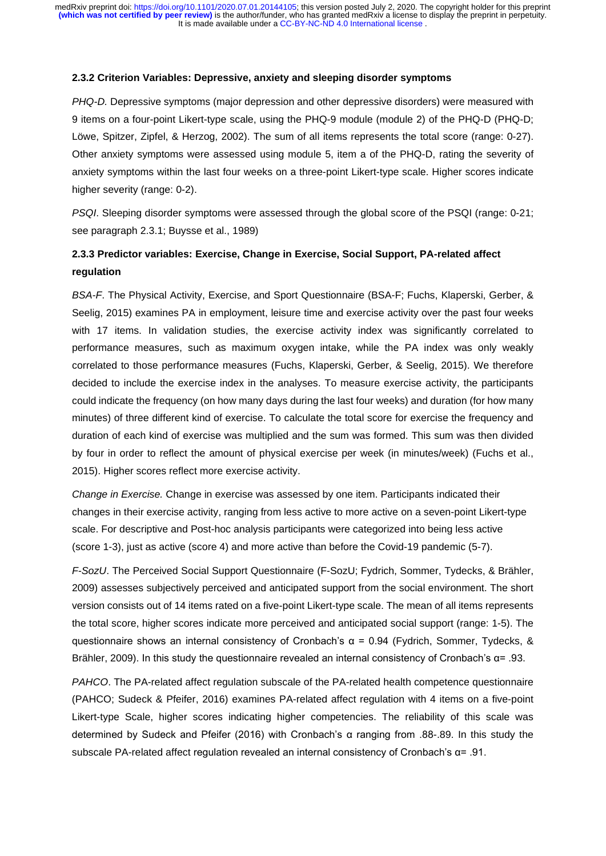### **2.3.2 Criterion Variables: Depressive, anxiety and sleeping disorder symptoms**

*PHQ-D.* Depressive symptoms (major depression and other depressive disorders) were measured with 9 items on a four-point Likert-type scale, using the PHQ-9 module (module 2) of the PHQ-D (PHQ-D; Löwe, Spitzer, Zipfel, & Herzog, 2002). The sum of all items represents the total score (range: 0-27). Other anxiety symptoms were assessed using module 5, item a of the PHQ-D, rating the severity of anxiety symptoms within the last four weeks on a three-point Likert-type scale. Higher scores indicate higher severity (range: 0-2).

*PSQI*. Sleeping disorder symptoms were assessed through the global score of the PSQI (range: 0-21; see paragraph 2.3.1; Buysse et al., 1989)

# **2.3.3 Predictor variables: Exercise, Change in Exercise, Social Support, PA-related affect regulation**

*BSA-F*. The Physical Activity, Exercise, and Sport Questionnaire (BSA-F; Fuchs, Klaperski, Gerber, & Seelig, 2015) examines PA in employment, leisure time and exercise activity over the past four weeks with 17 items. In validation studies, the exercise activity index was significantly correlated to performance measures, such as maximum oxygen intake, while the PA index was only weakly correlated to those performance measures (Fuchs, Klaperski, Gerber, & Seelig, 2015). We therefore decided to include the exercise index in the analyses. To measure exercise activity, the participants could indicate the frequency (on how many days during the last four weeks) and duration (for how many minutes) of three different kind of exercise. To calculate the total score for exercise the frequency and duration of each kind of exercise was multiplied and the sum was formed. This sum was then divided by four in order to reflect the amount of physical exercise per week (in minutes/week) (Fuchs et al., 2015). Higher scores reflect more exercise activity.

*Change in Exercise.* Change in exercise was assessed by one item. Participants indicated their changes in their exercise activity, ranging from less active to more active on a seven-point Likert-type scale. For descriptive and Post-hoc analysis participants were categorized into being less active (score 1-3), just as active (score 4) and more active than before the Covid-19 pandemic (5-7).

*F-SozU*. The Perceived Social Support Questionnaire (F-SozU; Fydrich, Sommer, Tydecks, & Brähler, 2009) assesses subjectively perceived and anticipated support from the social environment. The short version consists out of 14 items rated on a five-point Likert-type scale. The mean of all items represents the total score, higher scores indicate more perceived and anticipated social support (range: 1-5). The questionnaire shows an internal consistency of Cronbach's α = 0.94 (Fydrich, Sommer, Tydecks, & Brähler, 2009). In this study the questionnaire revealed an internal consistency of Cronbach's α= .93.

*PAHCO*. The PA-related affect regulation subscale of the PA-related health competence questionnaire (PAHCO; Sudeck & Pfeifer, 2016) examines PA-related affect regulation with 4 items on a five-point Likert-type Scale, higher scores indicating higher competencies. The reliability of this scale was determined by Sudeck and Pfeifer (2016) with Cronbach's α ranging from .88-.89. In this study the subscale PA-related affect regulation revealed an internal consistency of Cronbach's  $\alpha$ = .91.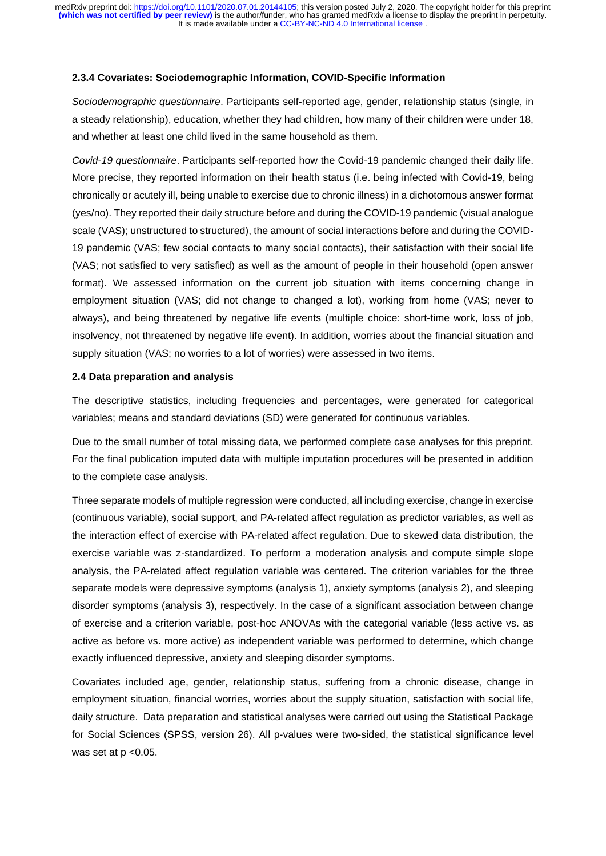### **2.3.4 Covariates: Sociodemographic Information, COVID-Specific Information**

*Sociodemographic questionnaire*. Participants self-reported age, gender, relationship status (single, in a steady relationship), education, whether they had children, how many of their children were under 18, and whether at least one child lived in the same household as them.

*Covid-19 questionnaire*. Participants self-reported how the Covid-19 pandemic changed their daily life. More precise, they reported information on their health status (i.e. being infected with Covid-19, being chronically or acutely ill, being unable to exercise due to chronic illness) in a dichotomous answer format (yes/no). They reported their daily structure before and during the COVID-19 pandemic (visual analogue scale (VAS); unstructured to structured), the amount of social interactions before and during the COVID-19 pandemic (VAS; few social contacts to many social contacts), their satisfaction with their social life (VAS; not satisfied to very satisfied) as well as the amount of people in their household (open answer format). We assessed information on the current job situation with items concerning change in employment situation (VAS; did not change to changed a lot), working from home (VAS; never to always), and being threatened by negative life events (multiple choice: short-time work, loss of job, insolvency, not threatened by negative life event). In addition, worries about the financial situation and supply situation (VAS; no worries to a lot of worries) were assessed in two items.

### **2.4 Data preparation and analysis**

The descriptive statistics, including frequencies and percentages, were generated for categorical variables; means and standard deviations (SD) were generated for continuous variables.

Due to the small number of total missing data, we performed complete case analyses for this preprint. For the final publication imputed data with multiple imputation procedures will be presented in addition to the complete case analysis.

Three separate models of multiple regression were conducted, all including exercise, change in exercise (continuous variable), social support, and PA-related affect regulation as predictor variables, as well as the interaction effect of exercise with PA-related affect regulation. Due to skewed data distribution, the exercise variable was z-standardized. To perform a moderation analysis and compute simple slope analysis, the PA-related affect regulation variable was centered. The criterion variables for the three separate models were depressive symptoms (analysis 1), anxiety symptoms (analysis 2), and sleeping disorder symptoms (analysis 3), respectively. In the case of a significant association between change of exercise and a criterion variable, post-hoc ANOVAs with the categorial variable (less active vs. as active as before vs. more active) as independent variable was performed to determine, which change exactly influenced depressive, anxiety and sleeping disorder symptoms.

Covariates included age, gender, relationship status, suffering from a chronic disease, change in employment situation, financial worries, worries about the supply situation, satisfaction with social life, daily structure. Data preparation and statistical analyses were carried out using the Statistical Package for Social Sciences (SPSS, version 26). All p-values were two-sided, the statistical significance level was set at  $p < 0.05$ .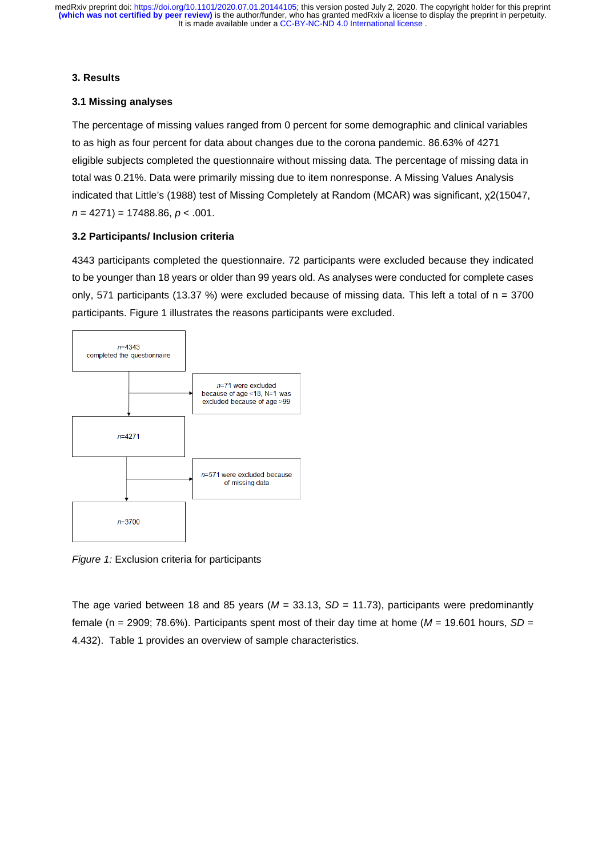## **3. Results**

# **3.1 Missing analyses**

The percentage of missing values ranged from 0 percent for some demographic and clinical variables to as high as four percent for data about changes due to the corona pandemic. 86.63% of 4271 eligible subjects completed the questionnaire without missing data. The percentage of missing data in total was 0.21%. Data were primarily missing due to item nonresponse. A Missing Values Analysis indicated that Little's (1988) test of Missing Completely at Random (MCAR) was significant, χ2(15047, *n* = 4271) = 17488.86, *p* < .001.

# **3.2 Participants/ Inclusion criteria**

4343 participants completed the questionnaire. 72 participants were excluded because they indicated to be younger than 18 years or older than 99 years old. As analyses were conducted for complete cases only, 571 participants (13.37 %) were excluded because of missing data. This left a total of  $n = 3700$ participants. Figure 1 illustrates the reasons participants were excluded.



*Figure 1:* Exclusion criteria for participants

<span id="page-7-0"></span>The age varied between 18 and 85 years (*M* = 33.13, *SD* = 11.73), participants were predominantly female (n = 2909; 78.6%). Participants spent most of their day time at home (*M* = 19.601 hours, *SD* = 4.432). [Table 1](#page-7-0) provides an overview of sample characteristics.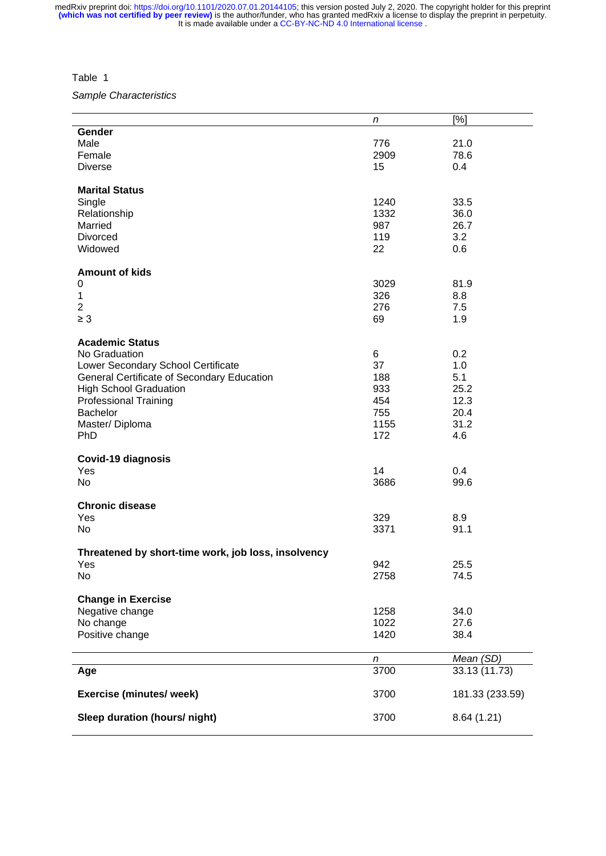Table 1

*Sample Characteristics*

|                                                     | n    | [%]             |
|-----------------------------------------------------|------|-----------------|
| Gender                                              |      |                 |
| Male                                                | 776  | 21.0            |
| Female                                              | 2909 | 78.6            |
| <b>Diverse</b>                                      | 15   | 0.4             |
| <b>Marital Status</b>                               |      |                 |
| Single                                              | 1240 | 33.5            |
| Relationship                                        | 1332 | 36.0            |
| Married                                             | 987  | 26.7            |
| Divorced                                            | 119  | 3.2             |
| Widowed                                             | 22   | 0.6             |
| <b>Amount of kids</b>                               |      |                 |
| 0                                                   | 3029 | 81.9            |
| 1                                                   | 326  | 8.8             |
| $\overline{2}$                                      | 276  | 7.5             |
| $\geq 3$                                            | 69   | 1.9             |
| <b>Academic Status</b>                              |      |                 |
| No Graduation                                       | 6    | 0.2             |
| Lower Secondary School Certificate                  | 37   | 1.0             |
| General Certificate of Secondary Education          | 188  | 5.1             |
| <b>High School Graduation</b>                       | 933  | 25.2            |
| <b>Professional Training</b>                        | 454  | 12.3            |
| Bachelor                                            | 755  | 20.4            |
| Master/Diploma                                      | 1155 | 31.2            |
| PhD                                                 | 172  | 4.6             |
| <b>Covid-19 diagnosis</b>                           |      |                 |
| Yes                                                 | 14   | 0.4             |
| No                                                  | 3686 | 99.6            |
| <b>Chronic disease</b>                              |      |                 |
| Yes                                                 | 329  | 8.9             |
| <b>No</b>                                           | 3371 | 91.1            |
| Threatened by short-time work, job loss, insolvency |      |                 |
| Yes                                                 | 942  | 25.5            |
| No                                                  | 2758 | 74.5            |
| <b>Change in Exercise</b>                           |      |                 |
| Negative change                                     | 1258 | 34.0            |
| No change                                           | 1022 | 27.6            |
| Positive change                                     | 1420 | 38.4            |
|                                                     | n    | Mean (SD)       |
| Age                                                 | 3700 | 33.13 (11.73)   |
| <b>Exercise (minutes/ week)</b>                     | 3700 | 181.33 (233.59) |
| Sleep duration (hours/ night)                       | 3700 | 8.64(1.21)      |
|                                                     |      |                 |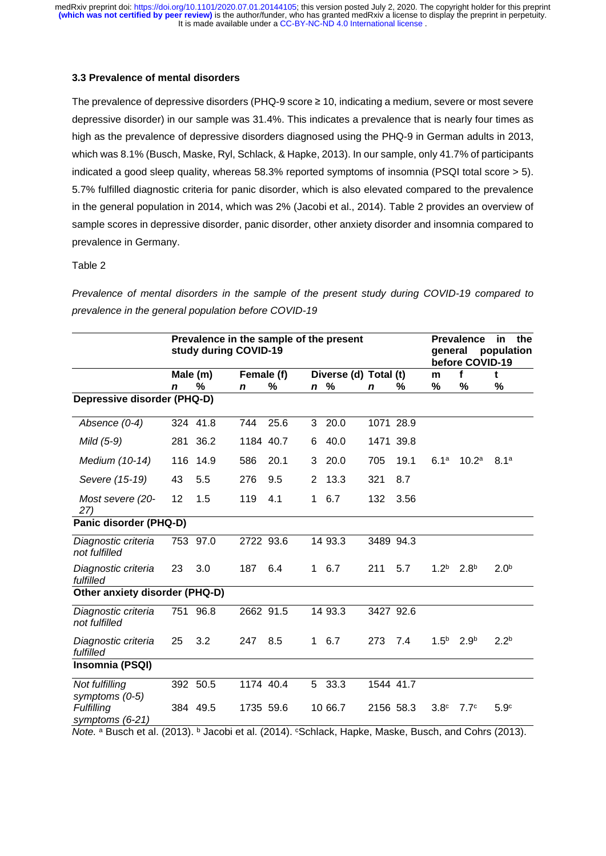### **3.3 Prevalence of mental disorders**

The prevalence of depressive disorders (PHQ-9 score ≥ 10, indicating a medium, severe or most severe depressive disorder) in our sample was 31.4%. This indicates a prevalence that is nearly four times as high as the prevalence of depressive disorders diagnosed using the PHQ-9 in German adults in 2013, which was 8.1% (Busch, Maske, Ryl, Schlack, & Hapke, 2013). In our sample, only 41.7% of participants indicated a good sleep quality, whereas 58.3% reported symptoms of insomnia (PSQI total score > 5). 5.7% fulfilled diagnostic criteria for panic disorder, which is also elevated compared to the prevalence in the general population in 2014, which was 2% (Jacobi et al., 2014). Table 2 provides an overview of sample scores in depressive disorder, panic disorder, other anxiety disorder and insomnia compared to prevalence in Germany.

### Table 2

*Prevalence of mental disorders in the sample of the present study during COVID-19 compared to prevalence in the general population before COVID-19*

|                                      |                 | Prevalence in the sample of the present<br>study during COVID-19 |             |           |             |                       | <b>Prevalence</b><br>general | in.<br>the<br>population<br>before COVID-19 |                  |                   |                  |
|--------------------------------------|-----------------|------------------------------------------------------------------|-------------|-----------|-------------|-----------------------|------------------------------|---------------------------------------------|------------------|-------------------|------------------|
|                                      | Male (m)        |                                                                  | Female (f)  |           |             | Diverse (d) Total (t) |                              |                                             | m                | f                 | t                |
|                                      | $\mathbf n$     | %                                                                | $\mathbf n$ | %         | $\mathbf n$ | %                     | $\mathbf n$                  | ℅                                           | %                | %                 | %                |
| Depressive disorder (PHQ-D)          |                 |                                                                  |             |           |             |                       |                              |                                             |                  |                   |                  |
| Absence (0-4)                        |                 | 324 41.8                                                         | 744         | 25.6      | 3           | 20.0                  | 1071 28.9                    |                                             |                  |                   |                  |
| Mild (5-9)                           | 281             | 36.2                                                             |             | 1184 40.7 | 6           | 40.0                  | 1471 39.8                    |                                             |                  |                   |                  |
| Medium (10-14)                       | 116             | 14.9                                                             | 586         | 20.1      | 3           | 20.0                  | 705                          | 19.1                                        | 6.1 <sup>a</sup> | 10.2 <sup>a</sup> | 8.1 <sup>a</sup> |
| Severe (15-19)                       | 43              | 5.5                                                              | 276         | 9.5       | 2           | 13.3                  | 321                          | 8.7                                         |                  |                   |                  |
| Most severe (20-<br>27)              | 12 <sub>2</sub> | 1.5                                                              | 119         | 4.1       | 1           | 6.7                   | 132                          | 3.56                                        |                  |                   |                  |
| Panic disorder (PHQ-D)               |                 |                                                                  |             |           |             |                       |                              |                                             |                  |                   |                  |
| Diagnostic criteria<br>not fulfilled |                 | 753 97.0                                                         | 2722 93.6   |           |             | 14 93.3               | 3489 94.3                    |                                             |                  |                   |                  |
| Diagnostic criteria<br>fulfilled     | 23              | 3.0                                                              | 187         | 6.4       | $\mathbf 1$ | 6.7                   | 211                          | 5.7                                         | 1.2 <sup>b</sup> | 2.8 <sup>b</sup>  | 2.0 <sup>b</sup> |
| Other anxiety disorder (PHQ-D)       |                 |                                                                  |             |           |             |                       |                              |                                             |                  |                   |                  |
| Diagnostic criteria<br>not fulfilled |                 | 751 96.8                                                         | 2662 91.5   |           |             | 14 93.3               | 3427 92.6                    |                                             |                  |                   |                  |
| Diagnostic criteria<br>fulfilled     | 25              | 3.2                                                              | 247         | 8.5       | $\mathbf 1$ | 6.7                   | 273                          | 7.4                                         | 1.5 <sup>b</sup> | 2.9 <sup>b</sup>  | 2.2 <sup>b</sup> |
| Insomnia (PSQI)                      |                 |                                                                  |             |           |             |                       |                              |                                             |                  |                   |                  |
| Not fulfilling<br>symptoms (0-5)     |                 | 392 50.5                                                         | 1174 40.4   |           | 5           | 33.3                  | 1544 41.7                    |                                             |                  |                   |                  |
| <b>Fulfilling</b><br>symptoms (6-21) |                 | 384 49.5                                                         |             | 1735 59.6 |             | 10 66.7               | 2156 58.3                    |                                             | 3.8 <sup>c</sup> | 7.7 <sup>c</sup>  | 5.9 <sup>c</sup> |

*Note.* a Busch et al. (2013). b Jacobi et al. (2014). CSchlack, Hapke, Maske, Busch, and Cohrs (2013).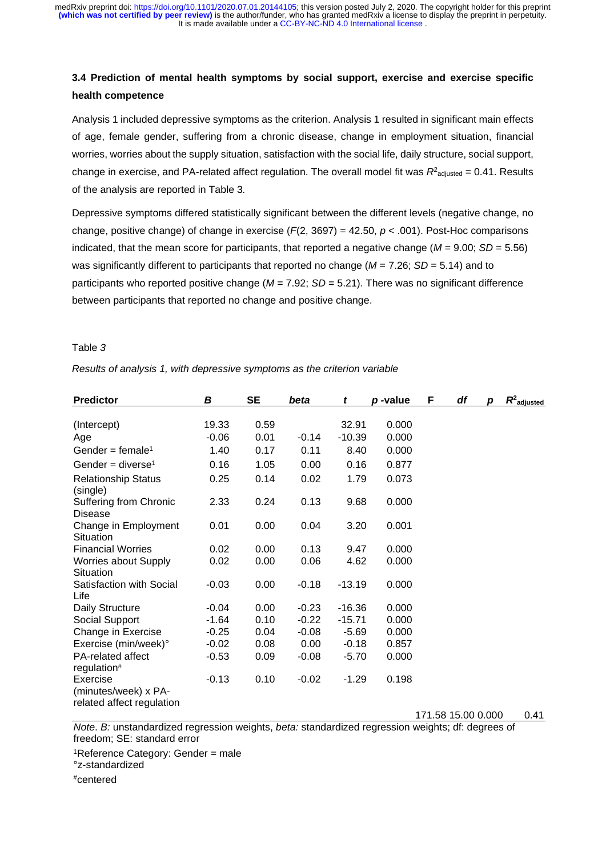# **3.4 Prediction of mental health symptoms by social support, exercise and exercise specific health competence**

Analysis 1 included depressive symptoms as the criterion. Analysis 1 resulted in significant main effects of age, female gender, suffering from a chronic disease, change in employment situation, financial worries, worries about the supply situation, satisfaction with the social life, daily structure, social support, change in exercise, and PA-related affect regulation. The overall model fit was  $R^2$ <sub>adjusted</sub> = 0.41. Results of the analysis are reported in Table 3*.* 

Depressive symptoms differed statistically significant between the different levels (negative change, no change, positive change) of change in exercise (*F*(2, 3697) = 42.50, *p* < .001). Post-Hoc comparisons indicated, that the mean score for participants, that reported a negative change (*M* = 9.00; *SD* = 5.56) was significantly different to participants that reported no change (*M* = 7.26; *SD* = 5.14) and to participants who reported positive change ( $M = 7.92$ ; *SD* = 5.21). There was no significant difference between participants that reported no change and positive change.

### Table *3*

*Results of analysis 1, with depressive symptoms as the criterion variable* 

| <b>Predictor</b>                                              | В       | <b>SE</b> | beta    | t        | p-value | F | df                 | р | $R^2$ adjusted |
|---------------------------------------------------------------|---------|-----------|---------|----------|---------|---|--------------------|---|----------------|
|                                                               |         |           |         |          |         |   |                    |   |                |
| (Intercept)                                                   | 19.33   | 0.59      |         | 32.91    | 0.000   |   |                    |   |                |
| Age                                                           | $-0.06$ | 0.01      | $-0.14$ | $-10.39$ | 0.000   |   |                    |   |                |
| Gender = female <sup>1</sup>                                  | 1.40    | 0.17      | 0.11    | 8.40     | 0.000   |   |                    |   |                |
| Gender = diverse <sup>1</sup>                                 | 0.16    | 1.05      | 0.00    | 0.16     | 0.877   |   |                    |   |                |
| <b>Relationship Status</b><br>(single)                        | 0.25    | 0.14      | 0.02    | 1.79     | 0.073   |   |                    |   |                |
| Suffering from Chronic<br>Disease                             | 2.33    | 0.24      | 0.13    | 9.68     | 0.000   |   |                    |   |                |
| Change in Employment<br>Situation                             | 0.01    | 0.00      | 0.04    | 3.20     | 0.001   |   |                    |   |                |
| <b>Financial Worries</b>                                      | 0.02    | 0.00      | 0.13    | 9.47     | 0.000   |   |                    |   |                |
| <b>Worries about Supply</b><br>Situation                      | 0.02    | 0.00      | 0.06    | 4.62     | 0.000   |   |                    |   |                |
| Satisfaction with Social<br>Life                              | $-0.03$ | 0.00      | $-0.18$ | $-13.19$ | 0.000   |   |                    |   |                |
| Daily Structure                                               | $-0.04$ | 0.00      | $-0.23$ | $-16.36$ | 0.000   |   |                    |   |                |
| Social Support                                                | $-1.64$ | 0.10      | $-0.22$ | $-15.71$ | 0.000   |   |                    |   |                |
| Change in Exercise                                            | $-0.25$ | 0.04      | $-0.08$ | $-5.69$  | 0.000   |   |                    |   |                |
| Exercise (min/week)°                                          | $-0.02$ | 0.08      | 0.00    | $-0.18$  | 0.857   |   |                    |   |                |
| <b>PA-related affect</b><br>regulation#                       | $-0.53$ | 0.09      | $-0.08$ | $-5.70$  | 0.000   |   |                    |   |                |
| Exercise<br>(minutes/week) x PA-<br>related affect regulation | $-0.13$ | 0.10      | $-0.02$ | $-1.29$  | 0.198   |   |                    |   |                |
|                                                               |         |           |         |          |         |   | 171.58 15.00 0.000 |   | 0.41           |

*Note*. *B:* unstandardized regression weights, *beta:* standardized regression weights; df: degrees of freedom; SE: standard error

1Reference Category: Gender = male °z-standardized

#centered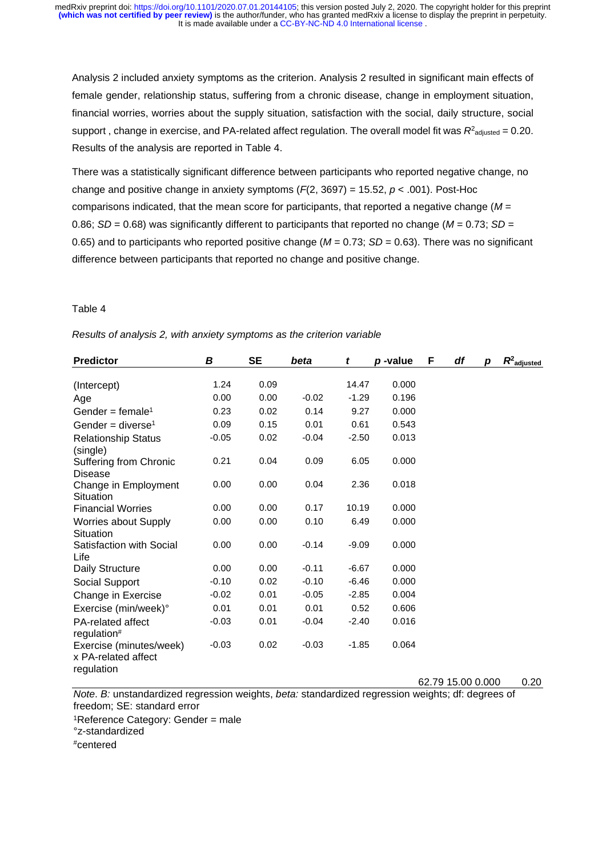<span id="page-11-0"></span>Analysis 2 included anxiety symptoms as the criterion. Analysis 2 resulted in significant main effects of female gender, relationship status, suffering from a chronic disease, change in employment situation, financial worries, worries about the supply situation, satisfaction with the social, daily structure, social support, change in exercise, and PA-related affect regulation. The overall model fit was  $R<sup>2</sup>$ adiusted = 0.20. Results of the analysis are reported in [Table 4.](#page-11-0)

There was a statistically significant difference between participants who reported negative change, no change and positive change in anxiety symptoms (*F*(2, 3697) = 15.52, *p* < .001). Post-Hoc comparisons indicated, that the mean score for participants, that reported a negative change (*M* = 0.86; *SD* = 0.68) was significantly different to participants that reported no change (*M* = 0.73; *SD* = 0.65) and to participants who reported positive change ( $M = 0.73$ ;  $SD = 0.63$ ). There was no significant difference between participants that reported no change and positive change.

## Table 4

|  | Results of analysis 2, with anxiety symptoms as the criterion variable |  |  |  |  |
|--|------------------------------------------------------------------------|--|--|--|--|
|--|------------------------------------------------------------------------|--|--|--|--|

| <b>Predictor</b>                                             | B       | <b>SE</b> | beta    | t       | p-value | F | df                | D | $R^2$ adjusted |
|--------------------------------------------------------------|---------|-----------|---------|---------|---------|---|-------------------|---|----------------|
|                                                              |         |           |         |         |         |   |                   |   |                |
| (Intercept)                                                  | 1.24    | 0.09      |         | 14.47   | 0.000   |   |                   |   |                |
| Age                                                          | 0.00    | 0.00      | $-0.02$ | $-1.29$ | 0.196   |   |                   |   |                |
| Gender = female <sup>1</sup>                                 | 0.23    | 0.02      | 0.14    | 9.27    | 0.000   |   |                   |   |                |
| Gender = diverse <sup>1</sup>                                | 0.09    | 0.15      | 0.01    | 0.61    | 0.543   |   |                   |   |                |
| <b>Relationship Status</b><br>(single)                       | $-0.05$ | 0.02      | $-0.04$ | $-2.50$ | 0.013   |   |                   |   |                |
| <b>Suffering from Chronic</b><br><b>Disease</b>              | 0.21    | 0.04      | 0.09    | 6.05    | 0.000   |   |                   |   |                |
| Change in Employment<br>Situation                            | 0.00    | 0.00      | 0.04    | 2.36    | 0.018   |   |                   |   |                |
| <b>Financial Worries</b>                                     | 0.00    | 0.00      | 0.17    | 10.19   | 0.000   |   |                   |   |                |
| <b>Worries about Supply</b><br>Situation                     | 0.00    | 0.00      | 0.10    | 6.49    | 0.000   |   |                   |   |                |
| Satisfaction with Social<br>Life                             | 0.00    | 0.00      | $-0.14$ | $-9.09$ | 0.000   |   |                   |   |                |
| Daily Structure                                              | 0.00    | 0.00      | $-0.11$ | $-6.67$ | 0.000   |   |                   |   |                |
| Social Support                                               | $-0.10$ | 0.02      | $-0.10$ | $-6.46$ | 0.000   |   |                   |   |                |
| Change in Exercise                                           | $-0.02$ | 0.01      | $-0.05$ | $-2.85$ | 0.004   |   |                   |   |                |
| Exercise (min/week)°                                         | 0.01    | 0.01      | 0.01    | 0.52    | 0.606   |   |                   |   |                |
| PA-related affect<br>regulation#                             | $-0.03$ | 0.01      | $-0.04$ | $-2.40$ | 0.016   |   |                   |   |                |
| Exercise (minutes/week)<br>x PA-related affect<br>regulation | $-0.03$ | 0.02      | $-0.03$ | $-1.85$ | 0.064   |   |                   |   |                |
|                                                              |         |           |         |         |         |   | 62.79 15.00 0.000 |   | 0.20           |

*Note*. *B:* unstandardized regression weights, *beta:* standardized regression weights; df: degrees of freedom; SE: standard error

1Reference Category: Gender = male

°z-standardized

#centered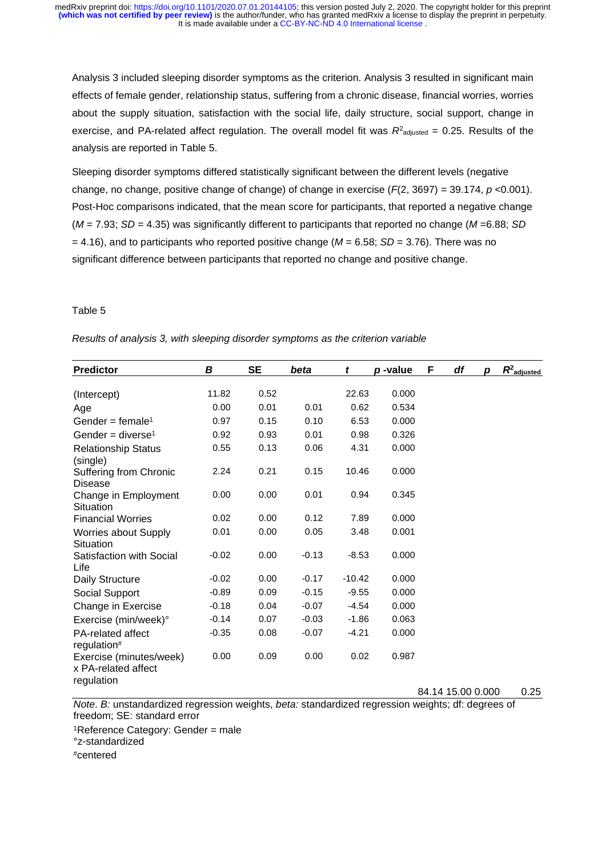<span id="page-12-0"></span>Analysis 3 included sleeping disorder symptoms as the criterion. Analysis 3 resulted in significant main effects of female gender, relationship status, suffering from a chronic disease, financial worries, worries about the supply situation, satisfaction with the social life, daily structure, social support, change in exercise, and PA-related affect regulation. The overall model fit was  $R<sup>2</sup>$ <sub>adjusted</sub> = 0.25. Results of the analysis are reported in [Table 5.](#page-12-0)

Sleeping disorder symptoms differed statistically significant between the different levels (negative change, no change, positive change of change) of change in exercise (*F*(2, 3697) = 39.174, *p* <0.001). Post-Hoc comparisons indicated, that the mean score for participants, that reported a negative change (*M* = 7.93; *SD* = 4.35) was significantly different to participants that reported no change (*M* =6.88; *SD*  = 4.16), and to participants who reported positive change (*M* = 6.58; *SD* = 3.76). There was no significant difference between participants that reported no change and positive change.

## Table 5

|  | Results of analysis 3, with sleeping disorder symptoms as the criterion variable |  |  |
|--|----------------------------------------------------------------------------------|--|--|
|  |                                                                                  |  |  |

| <b>Predictor</b>                                             | В       | <b>SE</b> | beta    | t        | p-value | F | df | D | $R^2$ adjusted |
|--------------------------------------------------------------|---------|-----------|---------|----------|---------|---|----|---|----------------|
|                                                              | 11.82   | 0.52      |         | 22.63    | 0.000   |   |    |   |                |
| (Intercept)                                                  |         |           |         |          |         |   |    |   |                |
| Age                                                          | 0.00    | 0.01      | 0.01    | 0.62     | 0.534   |   |    |   |                |
| Gender = female <sup>1</sup>                                 | 0.97    | 0.15      | 0.10    | 6.53     | 0.000   |   |    |   |                |
| Gender = diverse <sup>1</sup>                                | 0.92    | 0.93      | 0.01    | 0.98     | 0.326   |   |    |   |                |
| <b>Relationship Status</b><br>(single)                       | 0.55    | 0.13      | 0.06    | 4.31     | 0.000   |   |    |   |                |
| Suffering from Chronic<br>Disease                            | 2.24    | 0.21      | 0.15    | 10.46    | 0.000   |   |    |   |                |
| Change in Employment<br>Situation                            | 0.00    | 0.00      | 0.01    | 0.94     | 0.345   |   |    |   |                |
| <b>Financial Worries</b>                                     | 0.02    | 0.00      | 0.12    | 7.89     | 0.000   |   |    |   |                |
| <b>Worries about Supply</b><br>Situation                     | 0.01    | 0.00      | 0.05    | 3.48     | 0.001   |   |    |   |                |
| Satisfaction with Social<br>Life                             | $-0.02$ | 0.00      | $-0.13$ | $-8.53$  | 0.000   |   |    |   |                |
| Daily Structure                                              | $-0.02$ | 0.00      | $-0.17$ | $-10.42$ | 0.000   |   |    |   |                |
| Social Support                                               | $-0.89$ | 0.09      | $-0.15$ | $-9.55$  | 0.000   |   |    |   |                |
| Change in Exercise                                           | $-0.18$ | 0.04      | $-0.07$ | $-4.54$  | 0.000   |   |    |   |                |
| Exercise (min/week)°                                         | $-0.14$ | 0.07      | $-0.03$ | $-1.86$  | 0.063   |   |    |   |                |
| PA-related affect<br>regulation#                             | $-0.35$ | 0.08      | $-0.07$ | $-4.21$  | 0.000   |   |    |   |                |
| Exercise (minutes/week)<br>x PA-related affect<br>regulation | 0.00    | 0.09      | 0.00    | 0.02     | 0.987   |   |    |   |                |

84.14 15.00 0.000 0.25

*Note*. *B:* unstandardized regression weights, *beta:* standardized regression weights; df: degrees of freedom; SE: standard error

1Reference Category: Gender = male

°z-standardized

#centered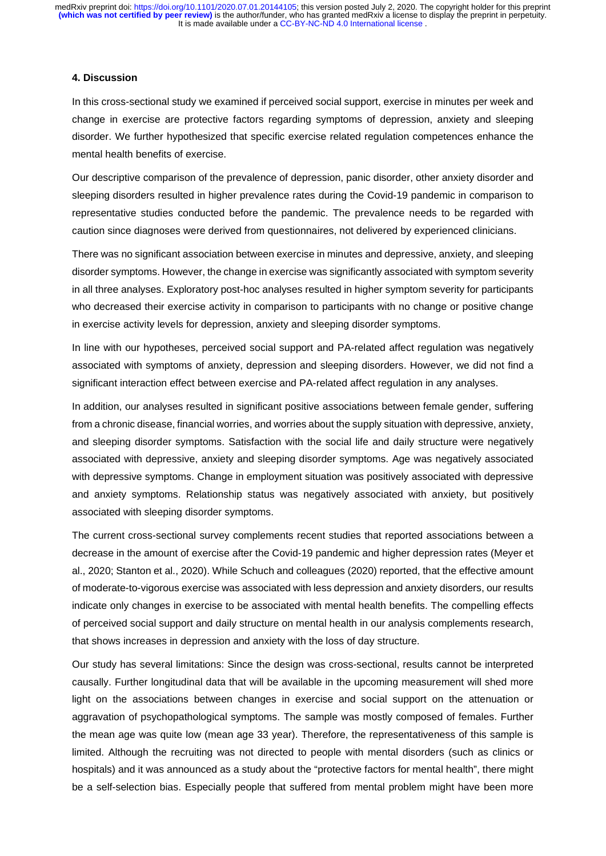### **4. Discussion**

In this cross-sectional study we examined if perceived social support, exercise in minutes per week and change in exercise are protective factors regarding symptoms of depression, anxiety and sleeping disorder. We further hypothesized that specific exercise related regulation competences enhance the mental health benefits of exercise.

Our descriptive comparison of the prevalence of depression, panic disorder, other anxiety disorder and sleeping disorders resulted in higher prevalence rates during the Covid-19 pandemic in comparison to representative studies conducted before the pandemic. The prevalence needs to be regarded with caution since diagnoses were derived from questionnaires, not delivered by experienced clinicians.

There was no significant association between exercise in minutes and depressive, anxiety, and sleeping disorder symptoms. However, the change in exercise was significantly associated with symptom severity in all three analyses. Exploratory post-hoc analyses resulted in higher symptom severity for participants who decreased their exercise activity in comparison to participants with no change or positive change in exercise activity levels for depression, anxiety and sleeping disorder symptoms.

In line with our hypotheses, perceived social support and PA-related affect regulation was negatively associated with symptoms of anxiety, depression and sleeping disorders. However, we did not find a significant interaction effect between exercise and PA-related affect regulation in any analyses.

In addition, our analyses resulted in significant positive associations between female gender, suffering from a chronic disease, financial worries, and worries about the supply situation with depressive, anxiety, and sleeping disorder symptoms. Satisfaction with the social life and daily structure were negatively associated with depressive, anxiety and sleeping disorder symptoms. Age was negatively associated with depressive symptoms. Change in employment situation was positively associated with depressive and anxiety symptoms. Relationship status was negatively associated with anxiety, but positively associated with sleeping disorder symptoms.

The current cross-sectional survey complements recent studies that reported associations between a decrease in the amount of exercise after the Covid-19 pandemic and higher depression rates (Meyer et al., 2020; Stanton et al., 2020). While Schuch and colleagues (2020) reported, that the effective amount of moderate-to-vigorous exercise was associated with less depression and anxiety disorders, our results indicate only changes in exercise to be associated with mental health benefits. The compelling effects of perceived social support and daily structure on mental health in our analysis complements research, that shows increases in depression and anxiety with the loss of day structure.

Our study has several limitations: Since the design was cross-sectional, results cannot be interpreted causally. Further longitudinal data that will be available in the upcoming measurement will shed more light on the associations between changes in exercise and social support on the attenuation or aggravation of psychopathological symptoms. The sample was mostly composed of females. Further the mean age was quite low (mean age 33 year). Therefore, the representativeness of this sample is limited. Although the recruiting was not directed to people with mental disorders (such as clinics or hospitals) and it was announced as a study about the "protective factors for mental health", there might be a self-selection bias. Especially people that suffered from mental problem might have been more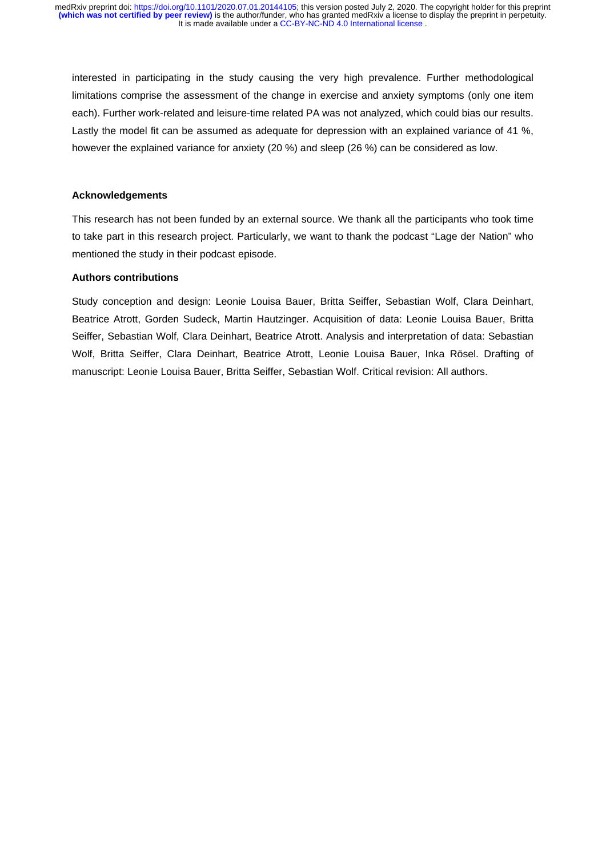interested in participating in the study causing the very high prevalence. Further methodological limitations comprise the assessment of the change in exercise and anxiety symptoms (only one item each). Further work-related and leisure-time related PA was not analyzed, which could bias our results. Lastly the model fit can be assumed as adequate for depression with an explained variance of 41 %. however the explained variance for anxiety (20 %) and sleep (26 %) can be considered as low.

# **Acknowledgements**

This research has not been funded by an external source. We thank all the participants who took time to take part in this research project. Particularly, we want to thank the podcast "Lage der Nation" who mentioned the study in their podcast episode.

# **Authors contributions**

Study conception and design: Leonie Louisa Bauer, Britta Seiffer, Sebastian Wolf, Clara Deinhart, Beatrice Atrott, Gorden Sudeck, Martin Hautzinger. Acquisition of data: Leonie Louisa Bauer, Britta Seiffer, Sebastian Wolf, Clara Deinhart, Beatrice Atrott. Analysis and interpretation of data: Sebastian Wolf, Britta Seiffer, Clara Deinhart, Beatrice Atrott, Leonie Louisa Bauer, Inka Rösel. Drafting of manuscript: Leonie Louisa Bauer, Britta Seiffer, Sebastian Wolf. Critical revision: All authors.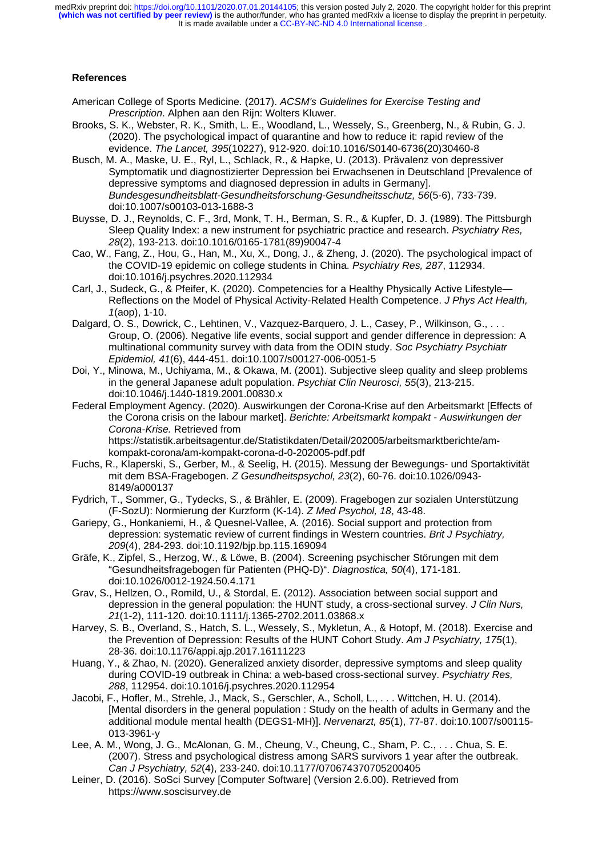# **References**

- American College of Sports Medicine. (2017). *ACSM's Guidelines for Exercise Testing and Prescription*. Alphen aan den Rijn: Wolters Kluwer.
- Brooks, S. K., Webster, R. K., Smith, L. E., Woodland, L., Wessely, S., Greenberg, N., & Rubin, G. J. (2020). The psychological impact of quarantine and how to reduce it: rapid review of the evidence. *The Lancet, 395*(10227), 912-920. doi:10.1016/S0140-6736(20)30460-8
- Busch, M. A., Maske, U. E., Ryl, L., Schlack, R., & Hapke, U. (2013). Prävalenz von depressiver Symptomatik und diagnostizierter Depression bei Erwachsenen in Deutschland [Prevalence of depressive symptoms and diagnosed depression in adults in Germany]. *Bundesgesundheitsblatt-Gesundheitsforschung-Gesundheitsschutz, 56*(5-6), 733-739. doi:10.1007/s00103-013-1688-3
- Buysse, D. J., Reynolds, C. F., 3rd, Monk, T. H., Berman, S. R., & Kupfer, D. J. (1989). The Pittsburgh Sleep Quality Index: a new instrument for psychiatric practice and research. *Psychiatry Res, 28*(2), 193-213. doi:10.1016/0165-1781(89)90047-4
- Cao, W., Fang, Z., Hou, G., Han, M., Xu, X., Dong, J., & Zheng, J. (2020). The psychological impact of the COVID-19 epidemic on college students in China. *Psychiatry Res, 287*, 112934. doi:10.1016/j.psychres.2020.112934
- Carl, J., Sudeck, G., & Pfeifer, K. (2020). Competencies for a Healthy Physically Active Lifestyle— Reflections on the Model of Physical Activity-Related Health Competence. *J Phys Act Health, 1*(aop), 1-10.
- Dalgard, O. S., Dowrick, C., Lehtinen, V., Vazquez-Barquero, J. L., Casey, P., Wilkinson, G., ... Group, O. (2006). Negative life events, social support and gender difference in depression: A multinational community survey with data from the ODIN study. *Soc Psychiatry Psychiatr Epidemiol, 41*(6), 444-451. doi:10.1007/s00127-006-0051-5
- Doi, Y., Minowa, M., Uchiyama, M., & Okawa, M. (2001). Subjective sleep quality and sleep problems in the general Japanese adult population. *Psychiat Clin Neurosci, 55*(3), 213-215. doi:10.1046/j.1440-1819.2001.00830.x
- Federal Employment Agency. (2020). Auswirkungen der Corona-Krise auf den Arbeitsmarkt [Effects of the Corona crisis on the labour market]. *Berichte: Arbeitsmarkt kompakt - Auswirkungen der Corona-Krise.* Retrieved from https://statistik.arbeitsagentur.de/Statistikdaten/Detail/202005/arbeitsmarktberichte/am-

kompakt-corona/am-kompakt-corona-d-0-202005-pdf.pdf

- Fuchs, R., Klaperski, S., Gerber, M., & Seelig, H. (2015). Messung der Bewegungs- und Sportaktivität mit dem BSA-Fragebogen. *Z Gesundheitspsychol, 23*(2), 60-76. doi:10.1026/0943- 8149/a000137
- Fydrich, T., Sommer, G., Tydecks, S., & Brähler, E. (2009). Fragebogen zur sozialen Unterstützung (F-SozU): Normierung der Kurzform (K-14). *Z Med Psychol, 18*, 43-48.
- Gariepy, G., Honkaniemi, H., & Quesnel-Vallee, A. (2016). Social support and protection from depression: systematic review of current findings in Western countries. *Brit J Psychiatry, 209*(4), 284-293. doi:10.1192/bjp.bp.115.169094
- Gräfe, K., Zipfel, S., Herzog, W., & Löwe, B. (2004). Screening psychischer Störungen mit dem "Gesundheitsfragebogen für Patienten (PHQ-D)". *Diagnostica, 50*(4), 171-181. doi:10.1026/0012-1924.50.4.171
- Grav, S., Hellzen, O., Romild, U., & Stordal, E. (2012). Association between social support and depression in the general population: the HUNT study, a cross-sectional survey. *J Clin Nurs, 21*(1-2), 111-120. doi:10.1111/j.1365-2702.2011.03868.x
- Harvey, S. B., Overland, S., Hatch, S. L., Wessely, S., Mykletun, A., & Hotopf, M. (2018). Exercise and the Prevention of Depression: Results of the HUNT Cohort Study. *Am J Psychiatry, 175*(1), 28-36. doi:10.1176/appi.ajp.2017.16111223
- Huang, Y., & Zhao, N. (2020). Generalized anxiety disorder, depressive symptoms and sleep quality during COVID-19 outbreak in China: a web-based cross-sectional survey. *Psychiatry Res, 288*, 112954. doi:10.1016/j.psychres.2020.112954
- Jacobi, F., Hofler, M., Strehle, J., Mack, S., Gerschler, A., Scholl, L., . . . Wittchen, H. U. (2014). [Mental disorders in the general population : Study on the health of adults in Germany and the additional module mental health (DEGS1-MH)]. *Nervenarzt, 85*(1), 77-87. doi:10.1007/s00115- 013-3961-y
- Lee, A. M., Wong, J. G., McAlonan, G. M., Cheung, V., Cheung, C., Sham, P. C., . . . Chua, S. E. (2007). Stress and psychological distress among SARS survivors 1 year after the outbreak. *Can J Psychiatry, 52*(4), 233-240. doi:10.1177/070674370705200405
- Leiner, D. (2016). SoSci Survey [Computer Software] (Version 2.6.00). Retrieved from https://www.soscisurvey.de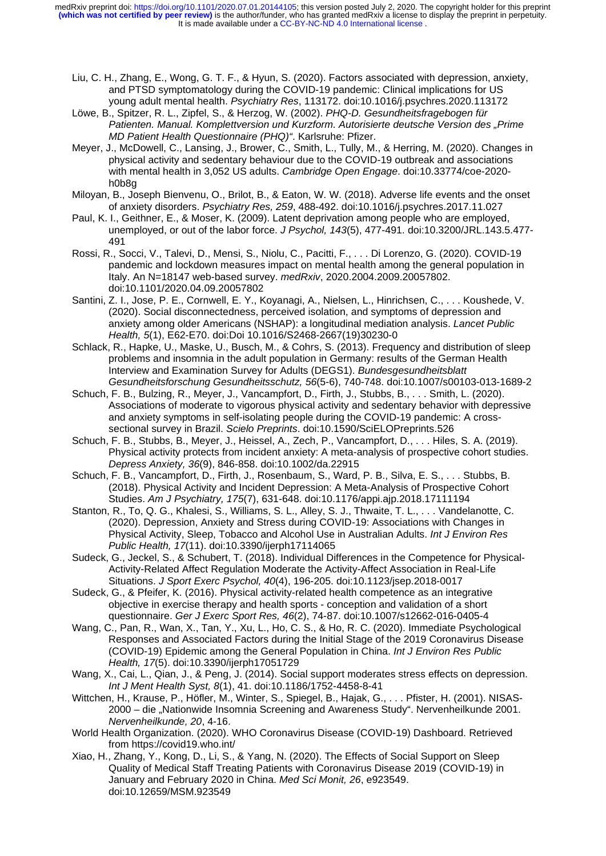- Liu, C. H., Zhang, E., Wong, G. T. F., & Hyun, S. (2020). Factors associated with depression, anxiety, and PTSD symptomatology during the COVID-19 pandemic: Clinical implications for US young adult mental health. *Psychiatry Res*, 113172. doi:10.1016/j.psychres.2020.113172
- Löwe, B., Spitzer, R. L., Zipfel, S., & Herzog, W. (2002). *PHQ-D. Gesundheitsfragebogen für Patienten. Manual. Komplettversion und Kurzform. Autorisierte deutsche Version des "Prime MD Patient Health Questionnaire (PHQ)"*. Karlsruhe: Pfizer.
- Meyer, J., McDowell, C., Lansing, J., Brower, C., Smith, L., Tully, M., & Herring, M. (2020). Changes in physical activity and sedentary behaviour due to the COVID-19 outbreak and associations with mental health in 3,052 US adults. *Cambridge Open Engage*. doi:10.33774/coe-2020 h0b8g
- Miloyan, B., Joseph Bienvenu, O., Brilot, B., & Eaton, W. W. (2018). Adverse life events and the onset of anxiety disorders. *Psychiatry Res, 259*, 488-492. doi:10.1016/j.psychres.2017.11.027
- Paul, K. I., Geithner, E., & Moser, K. (2009). Latent deprivation among people who are employed, unemployed, or out of the labor force. *J Psychol, 143*(5), 477-491. doi:10.3200/JRL.143.5.477- 491
- Rossi, R., Socci, V., Talevi, D., Mensi, S., Niolu, C., Pacitti, F., . . . Di Lorenzo, G. (2020). COVID-19 pandemic and lockdown measures impact on mental health among the general population in Italy. An N=18147 web-based survey. *medRxiv*, 2020.2004.2009.20057802. doi:10.1101/2020.04.09.20057802
- Santini, Z. I., Jose, P. E., Cornwell, E. Y., Koyanagi, A., Nielsen, L., Hinrichsen, C., . . . Koushede, V. (2020). Social disconnectedness, perceived isolation, and symptoms of depression and anxiety among older Americans (NSHAP): a longitudinal mediation analysis. *Lancet Public Health, 5*(1), E62-E70. doi:Doi 10.1016/S2468-2667(19)30230-0
- Schlack, R., Hapke, U., Maske, U., Busch, M., & Cohrs, S. (2013). Frequency and distribution of sleep problems and insomnia in the adult population in Germany: results of the German Health Interview and Examination Survey for Adults (DEGS1). *Bundesgesundheitsblatt Gesundheitsforschung Gesundheitsschutz, 56*(5-6), 740-748. doi:10.1007/s00103-013-1689-2
- Schuch, F. B., Bulzing, R., Meyer, J., Vancampfort, D., Firth, J., Stubbs, B., . . . Smith, L. (2020). Associations of moderate to vigorous physical activity and sedentary behavior with depressive and anxiety symptoms in self-isolating people during the COVID-19 pandemic: A crosssectional survey in Brazil. *Scielo Preprints*. doi:10.1590/SciELOPreprints.526
- Schuch, F. B., Stubbs, B., Meyer, J., Heissel, A., Zech, P., Vancampfort, D., . . . Hiles, S. A. (2019). Physical activity protects from incident anxiety: A meta-analysis of prospective cohort studies. *Depress Anxiety, 36*(9), 846-858. doi:10.1002/da.22915
- Schuch, F. B., Vancampfort, D., Firth, J., Rosenbaum, S., Ward, P. B., Silva, E. S., . . . Stubbs, B. (2018). Physical Activity and Incident Depression: A Meta-Analysis of Prospective Cohort Studies. *Am J Psychiatry, 175*(7), 631-648. doi:10.1176/appi.ajp.2018.17111194
- Stanton, R., To, Q. G., Khalesi, S., Williams, S. L., Alley, S. J., Thwaite, T. L., . . . Vandelanotte, C. (2020). Depression, Anxiety and Stress during COVID-19: Associations with Changes in Physical Activity, Sleep, Tobacco and Alcohol Use in Australian Adults. *Int J Environ Res Public Health, 17*(11). doi:10.3390/ijerph17114065
- Sudeck, G., Jeckel, S., & Schubert, T. (2018). Individual Differences in the Competence for Physical-Activity-Related Affect Regulation Moderate the Activity-Affect Association in Real-Life Situations. *J Sport Exerc Psychol, 40*(4), 196-205. doi:10.1123/jsep.2018-0017
- Sudeck, G., & Pfeifer, K. (2016). Physical activity-related health competence as an integrative objective in exercise therapy and health sports - conception and validation of a short questionnaire. *Ger J Exerc Sport Res, 46*(2), 74-87. doi:10.1007/s12662-016-0405-4
- Wang, C., Pan, R., Wan, X., Tan, Y., Xu, L., Ho, C. S., & Ho, R. C. (2020). Immediate Psychological Responses and Associated Factors during the Initial Stage of the 2019 Coronavirus Disease (COVID-19) Epidemic among the General Population in China. *Int J Environ Res Public Health, 17*(5). doi:10.3390/ijerph17051729
- Wang, X., Cai, L., Qian, J., & Peng, J. (2014). Social support moderates stress effects on depression. *Int J Ment Health Syst, 8*(1), 41. doi:10.1186/1752-4458-8-41
- Wittchen, H., Krause, P., Höfler, M., Winter, S., Spiegel, B., Hajak, G., . . . Pfister, H. (2001). NISAS-2000 – die "Nationwide Insomnia Screening and Awareness Study". Nervenheilkunde 2001. *Nervenheilkunde, 20*, 4-16.
- World Health Organization. (2020). WHO Coronavirus Disease (COVID-19) Dashboard. Retrieved from https://covid19.who.int/
- Xiao, H., Zhang, Y., Kong, D., Li, S., & Yang, N. (2020). The Effects of Social Support on Sleep Quality of Medical Staff Treating Patients with Coronavirus Disease 2019 (COVID-19) in January and February 2020 in China. *Med Sci Monit, 26*, e923549. doi:10.12659/MSM.923549